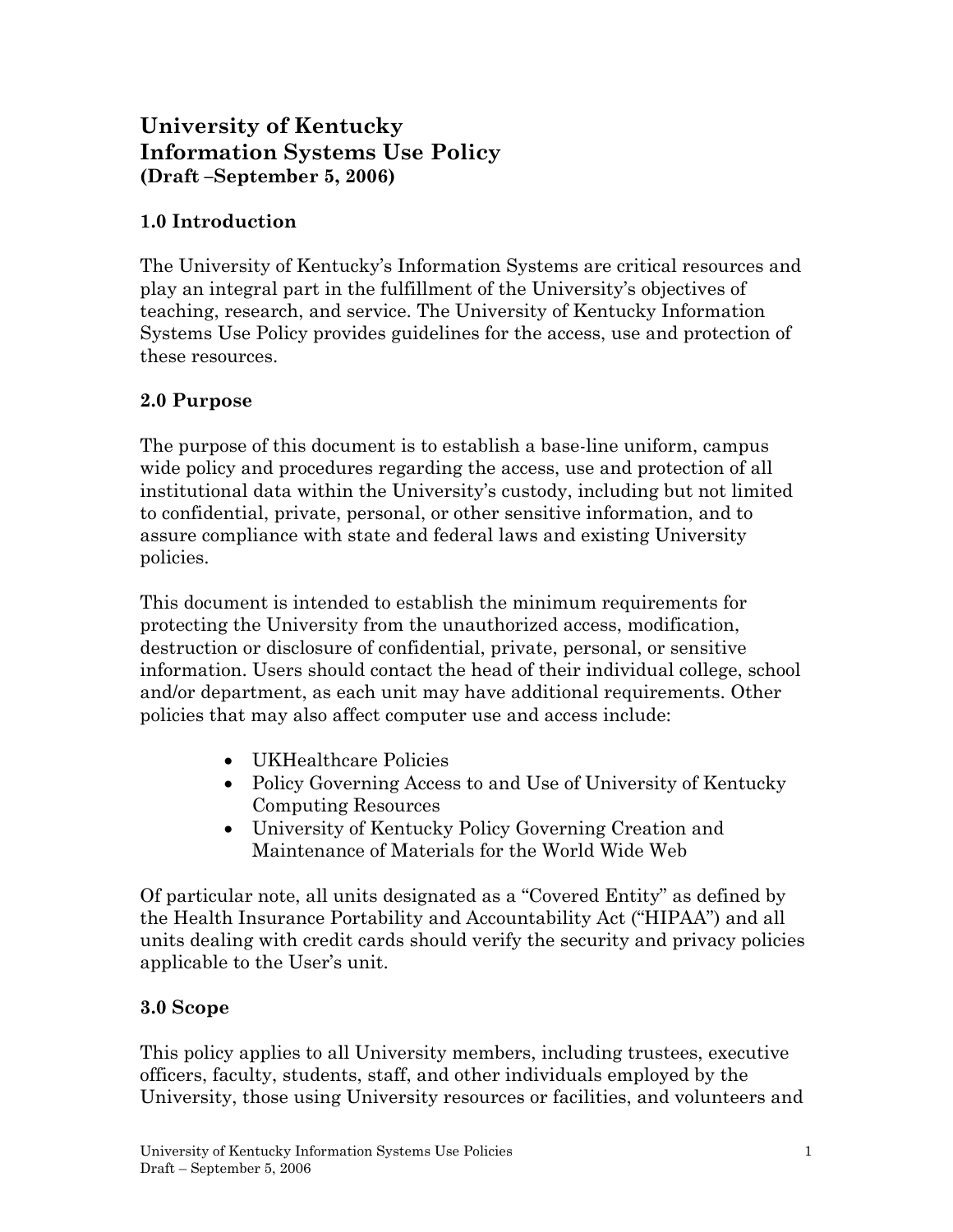# **University of Kentucky Information Systems Use Policy (Draft –September 5, 2006)**

### **1.0 Introduction**

The University of Kentucky's Information Systems are critical resources and play an integral part in the fulfillment of the University's objectives of teaching, research, and service. The University of Kentucky Information Systems Use Policy provides guidelines for the access, use and protection of these resources.

#### **2.0 Purpose**

The purpose of this document is to establish a base-line uniform, campus wide policy and procedures regarding the access, use and protection of all institutional data within the University's custody, including but not limited to confidential, private, personal, or other sensitive information, and to assure compliance with state and federal laws and existing University policies.

This document is intended to establish the minimum requirements for protecting the University from the unauthorized access, modification, destruction or disclosure of confidential, private, personal, or sensitive information. Users should contact the head of their individual college, school and/or department, as each unit may have additional requirements. Other policies that may also affect computer use and access include:

- UKHealthcare Policies
- Policy Governing Access to and Use of University of Kentucky Computing Resources
- University of Kentucky Policy Governing Creation and Maintenance of Materials for the World Wide Web

Of particular note, all units designated as a "Covered Entity" as defined by the Health Insurance Portability and Accountability Act ("HIPAA") and all units dealing with credit cards should verify the security and privacy policies applicable to the User's unit.

#### **3.0 Scope**

This policy applies to all University members, including trustees, executive officers, faculty, students, staff, and other individuals employed by the University, those using University resources or facilities, and volunteers and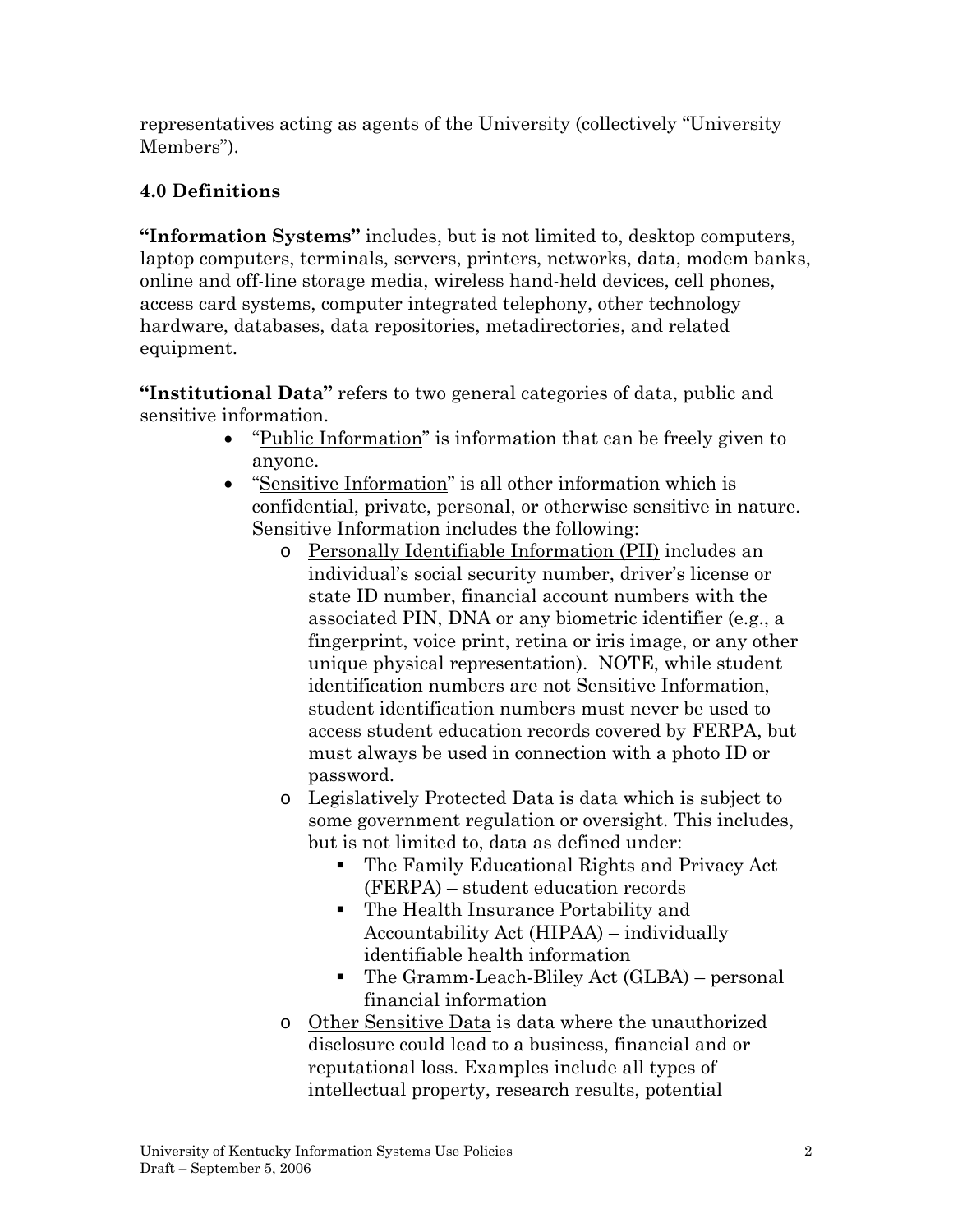representatives acting as agents of the University (collectively "University Members").

# **4.0 Definitions**

**"Information Systems"** includes, but is not limited to, desktop computers, laptop computers, terminals, servers, printers, networks, data, modem banks, online and off-line storage media, wireless hand-held devices, cell phones, access card systems, computer integrated telephony, other technology hardware, databases, data repositories, metadirectories, and related equipment.

**"Institutional Data"** refers to two general categories of data, public and sensitive information.

- "Public Information" is information that can be freely given to anyone.
- "Sensitive Information" is all other information which is confidential, private, personal, or otherwise sensitive in nature. Sensitive Information includes the following:
	- o Personally Identifiable Information (PII) includes an individual's social security number, driver's license or state ID number, financial account numbers with the associated PIN, DNA or any biometric identifier (e.g., a fingerprint, voice print, retina or iris image, or any other unique physical representation). NOTE, while student identification numbers are not Sensitive Information, student identification numbers must never be used to access student education records covered by FERPA, but must always be used in connection with a photo ID or password.
	- o Legislatively Protected Data is data which is subject to some government regulation or oversight. This includes, but is not limited to, data as defined under:
		- The Family Educational Rights and Privacy Act (FERPA) – student education records
		- The Health Insurance Portability and Accountability Act (HIPAA) – individually identifiable health information
		- The Gramm-Leach-Bliley Act (GLBA) personal financial information
	- o Other Sensitive Data is data where the unauthorized disclosure could lead to a business, financial and or reputational loss. Examples include all types of intellectual property, research results, potential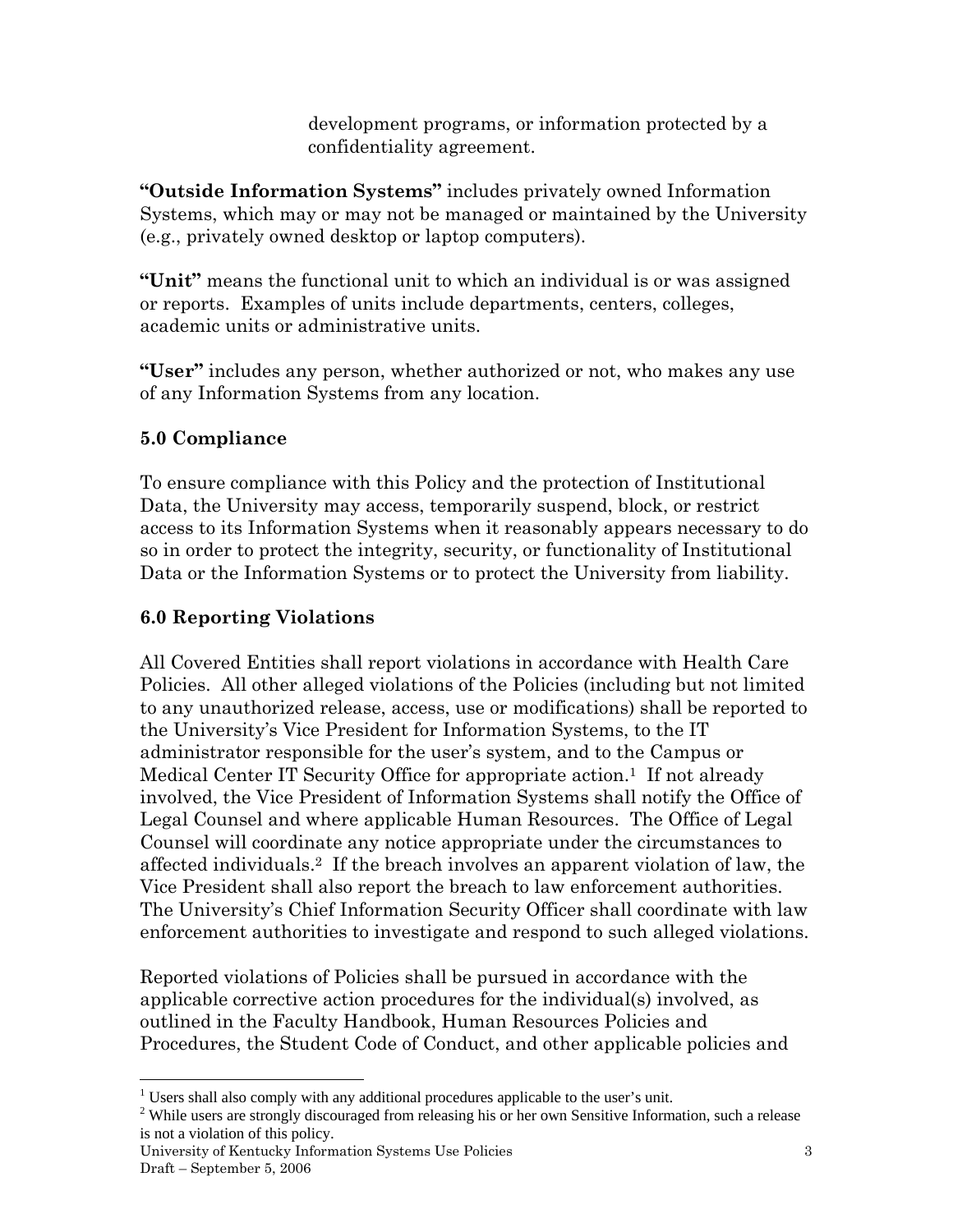development programs, or information protected by a confidentiality agreement.

**"Outside Information Systems"** includes privately owned Information Systems, which may or may not be managed or maintained by the University (e.g., privately owned desktop or laptop computers).

**"Unit"** means the functional unit to which an individual is or was assigned or reports. Examples of units include departments, centers, colleges, academic units or administrative units.

**"User"** includes any person, whether authorized or not, who makes any use of any Information Systems from any location.

# **5.0 Compliance**

<u>.</u>

To ensure compliance with this Policy and the protection of Institutional Data, the University may access, temporarily suspend, block, or restrict access to its Information Systems when it reasonably appears necessary to do so in order to protect the integrity, security, or functionality of Institutional Data or the Information Systems or to protect the University from liability.

# **6.0 Reporting Violations**

All Covered Entities shall report violations in accordance with Health Care Policies. All other alleged violations of the Policies (including but not limited to any unauthorized release, access, use or modifications) shall be reported to the University's Vice President for Information Systems, to the IT administrator responsible for the user's system, and to the Campus or Medical Center IT Security Office for appropriate action.<sup>1</sup> If not already involved, the Vice President of Information Systems shall notify the Office of Legal Counsel and where applicable Human Resources. The Office of Legal Counsel will coordinate any notice appropriate under the circumstances to affected individuals.2 If the breach involves an apparent violation of law, the Vice President shall also report the breach to law enforcement authorities. The University's Chief Information Security Officer shall coordinate with law enforcement authorities to investigate and respond to such alleged violations.

Reported violations of Policies shall be pursued in accordance with the applicable corrective action procedures for the individual(s) involved, as outlined in the Faculty Handbook, Human Resources Policies and Procedures, the Student Code of Conduct, and other applicable policies and

<sup>&</sup>lt;sup>1</sup> Users shall also comply with any additional procedures applicable to the user's unit.<br><sup>2</sup> While users are strongly discouraged from releasing his or her own Sensitive Information

<sup>&</sup>lt;sup>2</sup> While users are strongly discouraged from releasing his or her own Sensitive Information, such a release is not a violation of this policy.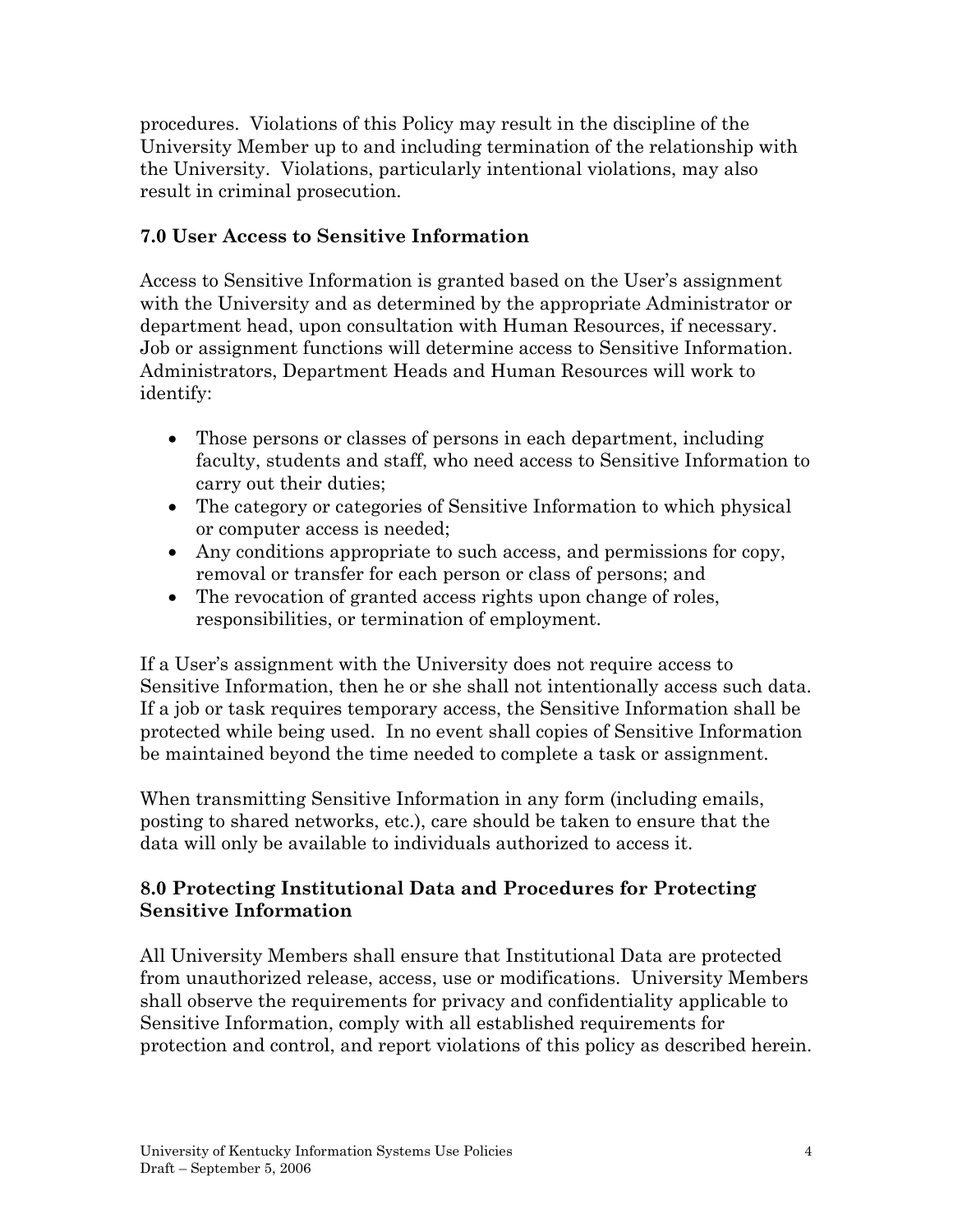procedures. Violations of this Policy may result in the discipline of the University Member up to and including termination of the relationship with the University. Violations, particularly intentional violations, may also result in criminal prosecution.

#### **7.0 User Access to Sensitive Information**

Access to Sensitive Information is granted based on the User's assignment with the University and as determined by the appropriate Administrator or department head, upon consultation with Human Resources, if necessary. Job or assignment functions will determine access to Sensitive Information. Administrators, Department Heads and Human Resources will work to identify:

- Those persons or classes of persons in each department, including faculty, students and staff, who need access to Sensitive Information to carry out their duties;
- The category or categories of Sensitive Information to which physical or computer access is needed;
- Any conditions appropriate to such access, and permissions for copy, removal or transfer for each person or class of persons; and
- The revocation of granted access rights upon change of roles, responsibilities, or termination of employment.

If a User's assignment with the University does not require access to Sensitive Information, then he or she shall not intentionally access such data. If a job or task requires temporary access, the Sensitive Information shall be protected while being used. In no event shall copies of Sensitive Information be maintained beyond the time needed to complete a task or assignment.

When transmitting Sensitive Information in any form (including emails, posting to shared networks, etc.), care should be taken to ensure that the data will only be available to individuals authorized to access it.

#### **8.0 Protecting Institutional Data and Procedures for Protecting Sensitive Information**

All University Members shall ensure that Institutional Data are protected from unauthorized release, access, use or modifications. University Members shall observe the requirements for privacy and confidentiality applicable to Sensitive Information, comply with all established requirements for protection and control, and report violations of this policy as described herein.